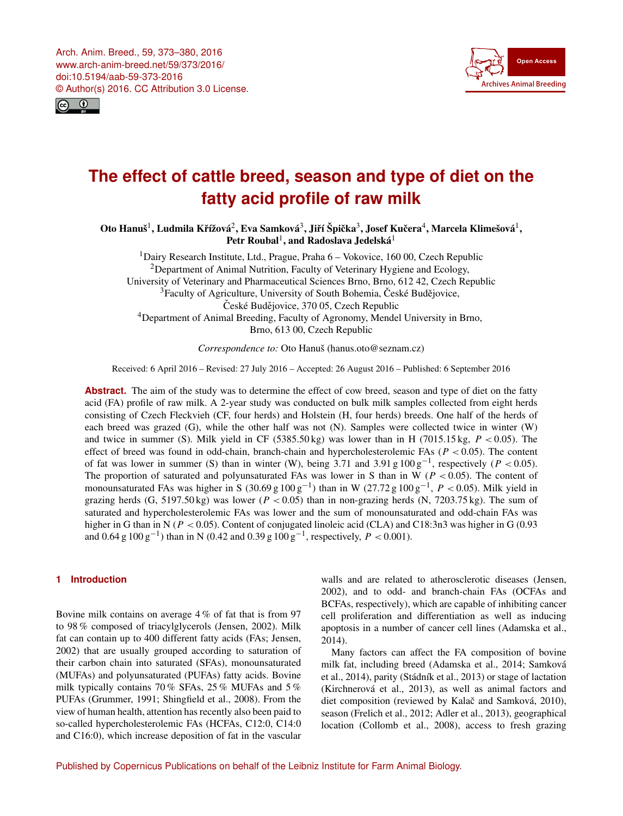<span id="page-0-1"></span>Arch. Anim. Breed., 59, 373–380, 2016 www.arch-anim-breed.net/59/373/2016/ doi:10.5194/aab-59-373-2016 © Author(s) 2016. CC Attribution 3.0 License.





# **The effect of cattle breed, season and type of diet on the fatty acid profile of raw milk**

Oto Hanuš $^1$  $^1$ , Ludmila Křížová $^2$  $^2$ , Eva Samková $^3$  $^3$ , Jiří Špička $^3$ , Josef Kučera $^4$  $^4$ , Marcela Klimešová $^1,$ Petr Roubal<sup>[1](#page-0-0)</sup>, and Radoslava Jedelská<sup>1</sup>

<sup>1</sup>Dairy Research Institute, Ltd., Prague, Praha 6 – Vokovice, 160 00, Czech Republic <sup>2</sup>Department of Animal Nutrition, Faculty of Veterinary Hygiene and Ecology, University of Veterinary and Pharmaceutical Sciences Brno, Brno, 612 42, Czech Republic  $3$ Faculty of Agriculture, University of South Bohemia, České Budějovice, České Budějovice, 370 05, Czech Republic <sup>4</sup>Department of Animal Breeding, Faculty of Agronomy, Mendel University in Brno, Brno, 613 00, Czech Republic

*Correspondence to:* Oto Hanuš (hanus.oto@seznam.cz)

Received: 6 April 2016 – Revised: 27 July 2016 – Accepted: 26 August 2016 – Published: 6 September 2016

**Abstract.** The aim of the study was to determine the effect of cow breed, season and type of diet on the fatty acid (FA) profile of raw milk. A 2-year study was conducted on bulk milk samples collected from eight herds consisting of Czech Fleckvieh (CF, four herds) and Holstein (H, four herds) breeds. One half of the herds of each breed was grazed (G), while the other half was not (N). Samples were collected twice in winter (W) and twice in summer (S). Milk yield in CF  $(5385.50 \text{ kg})$  was lower than in H  $(7015.15 \text{ kg}, P < 0.05)$ . The effect of breed was found in odd-chain, branch-chain and hypercholesterolemic FAs ( $P < 0.05$ ). The content of fat was lower in summer (S) than in winter (W), being 3.71 and 3.91 g  $100 \text{ g}^{-1}$ , respectively (P < 0.05). The proportion of saturated and polyunsaturated FAs was lower in S than in W ( $P < 0.05$ ). The content of monounsaturated FAs was higher in S (30.69 g  $100 \text{ g}^{-1}$ ) than in W (27.72 g  $100 \text{ g}^{-1}$ ,  $P < 0.05$ ). Milk yield in grazing herds (G, 5197.50 kg) was lower ( $P < 0.05$ ) than in non-grazing herds (N, 7203.75 kg). The sum of saturated and hypercholesterolemic FAs was lower and the sum of monounsaturated and odd-chain FAs was higher in G than in N ( $P < 0.05$ ). Content of conjugated linoleic acid (CLA) and C18:3n3 was higher in G (0.93 and  $0.64 \text{ g } 100 \text{ g}^{-1}$ ) than in N (0.42 and  $0.39 \text{ g } 100 \text{ g}^{-1}$ , respectively,  $P < 0.001$ ).

# <span id="page-0-0"></span>**1 Introduction**

Bovine milk contains on average 4 % of fat that is from 97 to 98 % composed of triacylglycerols (Jensen, 2002). Milk fat can contain up to 400 different fatty acids (FAs; Jensen, 2002) that are usually grouped according to saturation of their carbon chain into saturated (SFAs), monounsaturated (MUFAs) and polyunsaturated (PUFAs) fatty acids. Bovine milk typically contains 70 % SFAs, 25 % MUFAs and 5 % PUFAs (Grummer, 1991; Shingfield et al., 2008). From the view of human health, attention has recently also been paid to so-called hypercholesterolemic FAs (HCFAs, C12:0, C14:0 and C16:0), which increase deposition of fat in the vascular

walls and are related to atherosclerotic diseases (Jensen, 2002), and to odd- and branch-chain FAs (OCFAs and BCFAs, respectively), which are capable of inhibiting cancer cell proliferation and differentiation as well as inducing apoptosis in a number of cancer cell lines (Adamska et al., 2014).

Many factors can affect the FA composition of bovine milk fat, including breed (Adamska et al., 2014; Samková et al., 2014), parity (Stádník et al., 2013) or stage of lactation (Kirchnerová et al., 2013), as well as animal factors and diet composition (reviewed by Kalač and Samková, 2010), season (Frelich et al., 2012; Adler et al., 2013), geographical location (Collomb et al., 2008), access to fresh grazing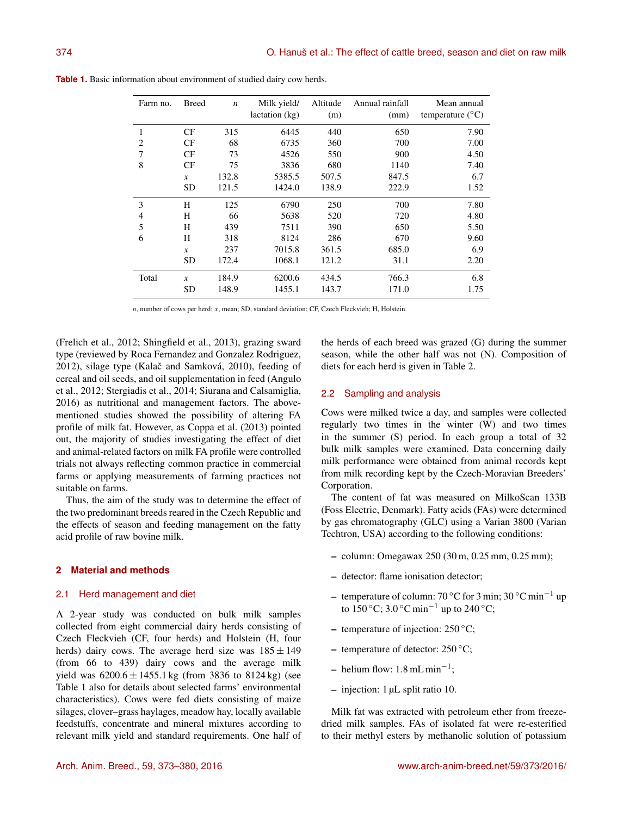| Farm no. | <b>Breed</b>     | $\boldsymbol{n}$ | Milk yield/<br>lactation (kg) | Altitude<br>(m) | Annual rainfall<br>(mm) | Mean annual<br>temperature $(^{\circ}C)$ |
|----------|------------------|------------------|-------------------------------|-----------------|-------------------------|------------------------------------------|
| 1        | CF               | 315              | 6445                          | 440             | 650                     | 7.90                                     |
| 2        | CF               | 68               | 6735                          | 360             | 700                     | 7.00                                     |
| 7        | CF               | 73               | 4526                          | 550             | 900                     | 4.50                                     |
| 8        | CF               | 75               | 3836                          | 680             | 1140                    | 7.40                                     |
|          | $\boldsymbol{x}$ | 132.8            | 5385.5                        | 507.5           | 847.5                   | 6.7                                      |
|          | <b>SD</b>        | 121.5            | 1424.0                        | 138.9           | 222.9                   | 1.52                                     |
| 3        | H                | 125              | 6790                          | 250             | 700                     | 7.80                                     |
| 4        | H                | 66               | 5638                          | 520             | 720                     | 4.80                                     |
| 5        | H                | 439              | 7511                          | 390             | 650                     | 5.50                                     |
| 6        | H                | 318              | 8124                          | 286             | 670                     | 9.60                                     |
|          | $\boldsymbol{x}$ | 237              | 7015.8                        | 361.5           | 685.0                   | 6.9                                      |
|          | <b>SD</b>        | 172.4            | 1068.1                        | 121.2           | 31.1                    | 2.20                                     |
| Total    | $\boldsymbol{x}$ | 184.9            | 6200.6                        | 434.5           | 766.3                   | 6.8                                      |
|          | <b>SD</b>        | 148.9            | 1455.1                        | 143.7           | 171.0                   | 1.75                                     |

**Table 1.** Basic information about environment of studied dairy cow herds.

n, number of cows per herd; x, mean; SD, standard deviation; CF, Czech Fleckvieh; H, Holstein.

(Frelich et al., 2012; Shingfield et al., 2013), grazing sward type (reviewed by Roca Fernandez and Gonzalez Rodriguez, 2012), silage type (Kalač and Samková, 2010), feeding of cereal and oil seeds, and oil supplementation in feed (Angulo et al., 2012; Stergiadis et al., 2014; Siurana and Calsamiglia, 2016) as nutritional and management factors. The abovementioned studies showed the possibility of altering FA profile of milk fat. However, as Coppa et al. (2013) pointed out, the majority of studies investigating the effect of diet and animal-related factors on milk FA profile were controlled trials not always reflecting common practice in commercial farms or applying measurements of farming practices not suitable on farms.

Thus, the aim of the study was to determine the effect of the two predominant breeds reared in the Czech Republic and the effects of season and feeding management on the fatty acid profile of raw bovine milk.

## **2 Material and methods**

## 2.1 Herd management and diet

A 2-year study was conducted on bulk milk samples collected from eight commercial dairy herds consisting of Czech Fleckvieh (CF, four herds) and Holstein (H, four herds) dairy cows. The average herd size was  $185 \pm 149$ (from 66 to 439) dairy cows and the average milk yield was  $6200.6 \pm 1455.1$  kg (from 3836 to 8124 kg) (see Table 1 also for details about selected farms' environmental characteristics). Cows were fed diets consisting of maize silages, clover–grass haylages, meadow hay, locally available feedstuffs, concentrate and mineral mixtures according to relevant milk yield and standard requirements. One half of the herds of each breed was grazed (G) during the summer season, while the other half was not (N). Composition of diets for each herd is given in Table 2.

#### 2.2 Sampling and analysis

Cows were milked twice a day, and samples were collected regularly two times in the winter (W) and two times in the summer (S) period. In each group a total of 32 bulk milk samples were examined. Data concerning daily milk performance were obtained from animal records kept from milk recording kept by the Czech-Moravian Breeders' Corporation.

The content of fat was measured on MilkoScan 133B (Foss Electric, Denmark). Fatty acids (FAs) were determined by gas chromatography (GLC) using a Varian 3800 (Varian Techtron, USA) according to the following conditions:

- column: Omegawax 250 (30 m, 0.25 mm, 0.25 mm);
- detector: flame ionisation detector;
- temperature of column:  $70^{\circ}$ C for 3 min;  $30^{\circ}$ C min<sup>-1</sup> up to 150 °C; 3.0 °C min<sup>-1</sup> up to 240 °C;
- temperature of injection:  $250^{\circ}$ C;
- temperature of detector: 250 ◦C;
- helium flow:  $1.8 \text{ mL min}^{-1}$ ;
- injection: 1 µL split ratio 10.

Milk fat was extracted with petroleum ether from freezedried milk samples. FAs of isolated fat were re-esterified to their methyl esters by methanolic solution of potassium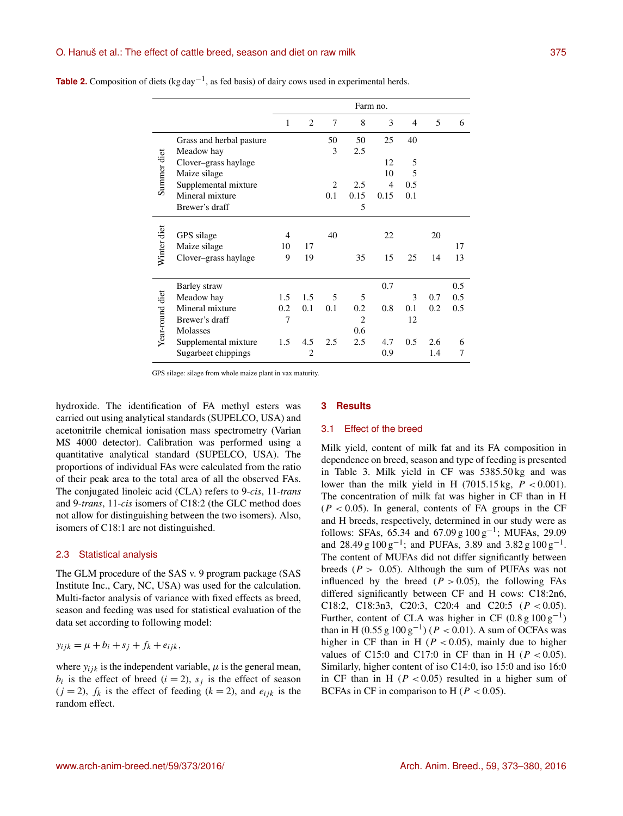#### O. Hanuš et al.: The effect of cattle breed, season and diet on raw milk 375

|                 |                          | Farm no.       |     |                |                |                |                |     |     |
|-----------------|--------------------------|----------------|-----|----------------|----------------|----------------|----------------|-----|-----|
|                 |                          | 1              | 2   | 7              | 8              | 3              | $\overline{4}$ | 5   | 6   |
|                 | Grass and herbal pasture |                |     | 50             | 50             | 25             | 40             |     |     |
|                 | Meadow hay               |                |     | 3              | 2.5            |                |                |     |     |
| Summer diet     | Clover-grass haylage     |                |     |                |                | 12             | 5              |     |     |
|                 | Maize silage             |                |     |                |                | 10             | 5              |     |     |
|                 | Supplemental mixture     |                |     | $\overline{2}$ | 2.5            | $\overline{4}$ | 0.5            |     |     |
|                 | Mineral mixture          |                |     | 0.1            | 0.15           | 0.15           | 0.1            |     |     |
|                 | Brewer's draff           |                |     |                | 5              |                |                |     |     |
|                 |                          |                |     |                |                |                |                |     |     |
| Winter diet     | GPS silage               | 4              |     | 40             |                | 22             |                | 20  |     |
|                 | Maize silage             | 10             | 17  |                |                |                |                |     | 17  |
|                 | Clover-grass haylage     | 9              | 19  |                | 35             | 15             | 25             | 14  | 13  |
|                 |                          |                |     |                |                |                |                |     |     |
|                 | Barley straw             |                |     |                |                | 0.7            |                |     | 0.5 |
| Year-round diet | Meadow hay               | 1.5            | 1.5 | 5              | 5              |                | 3              | 0.7 | 0.5 |
|                 | Mineral mixture          | 0.2            | 0.1 | 0.1            | 0.2            | 0.8            | 0.1            | 0.2 | 0.5 |
|                 | Brewer's draff           | $\overline{7}$ |     |                | $\overline{2}$ |                | 12             |     |     |
|                 | Molasses                 |                |     |                | 0.6            |                |                |     |     |
|                 | Supplemental mixture     | 1.5            | 4.5 | 2.5            | 2.5            | 4.7            | 0.5            | 2.6 | 6   |
|                 | Sugarbeet chippings      |                | 2   |                |                | 0.9            |                | 1.4 | 7   |

| <b>Table 2.</b> Composition of diets $(kg \, day^{-1})$ , as fed basis) of dairy cows used in experimental herds. |  |  |
|-------------------------------------------------------------------------------------------------------------------|--|--|
|-------------------------------------------------------------------------------------------------------------------|--|--|

GPS silage: silage from whole maize plant in vax maturity.

hydroxide. The identification of FA methyl esters was carried out using analytical standards (SUPELCO, USA) and acetonitrile chemical ionisation mass spectrometry (Varian MS 4000 detector). Calibration was performed using a quantitative analytical standard (SUPELCO, USA). The proportions of individual FAs were calculated from the ratio of their peak area to the total area of all the observed FAs. The conjugated linoleic acid (CLA) refers to 9-*cis*, 11-*trans* and 9-*trans*, 11-*cis* isomers of C18:2 (the GLC method does not allow for distinguishing between the two isomers). Also, isomers of C18:1 are not distinguished.

#### 2.3 Statistical analysis

The GLM procedure of the SAS v. 9 program package (SAS Institute Inc., Cary, NC, USA) was used for the calculation. Multi-factor analysis of variance with fixed effects as breed, season and feeding was used for statistical evaluation of the data set according to following model:

$$
y_{ijk} = \mu + b_i + s_j + f_k + e_{ijk},
$$

where  $y_{ijk}$  is the independent variable,  $\mu$  is the general mean,  $b_i$  is the effect of breed  $(i = 2)$ ,  $s_j$  is the effect of season  $(j = 2)$ ,  $f_k$  is the effect of feeding  $(k = 2)$ , and  $e_{ijk}$  is the random effect.

# **3 Results**

#### 3.1 Effect of the breed

Milk yield, content of milk fat and its FA composition in dependence on breed, season and type of feeding is presented in Table 3. Milk yield in CF was 5385.50 kg and was lower than the milk yield in H (7015.15 kg,  $P < 0.001$ ). The concentration of milk fat was higher in CF than in H  $(P < 0.05)$ . In general, contents of FA groups in the CF and H breeds, respectively, determined in our study were as follows: SFAs, 65.34 and 67.09 g  $100 \text{ g}^{-1}$ ; MUFAs, 29.09 and 28.49 g  $100 \text{ g}^{-1}$ ; and PUFAs, 3.89 and 3.82 g  $100 \text{ g}^{-1}$ . The content of MUFAs did not differ significantly between breeds ( $P > 0.05$ ). Although the sum of PUFAs was not influenced by the breed  $(P > 0.05)$ , the following FAs differed significantly between CF and H cows: C18:2n6, C18:2, C18:3n3, C20:3, C20:4 and C20:5 ( $P < 0.05$ ). Further, content of CLA was higher in CF  $(0.8 \text{ g } 100 \text{ g}^{-1})$ than in H (0.55 g  $100 \text{ g}^{-1}$ ) ( $P < 0.01$ ). A sum of OCFAs was higher in CF than in H ( $P < 0.05$ ), mainly due to higher values of C15:0 and C17:0 in CF than in H ( $P < 0.05$ ). Similarly, higher content of iso C14:0, iso 15:0 and iso 16:0 in CF than in H ( $P < 0.05$ ) resulted in a higher sum of BCFAs in CF in comparison to H ( $P < 0.05$ ).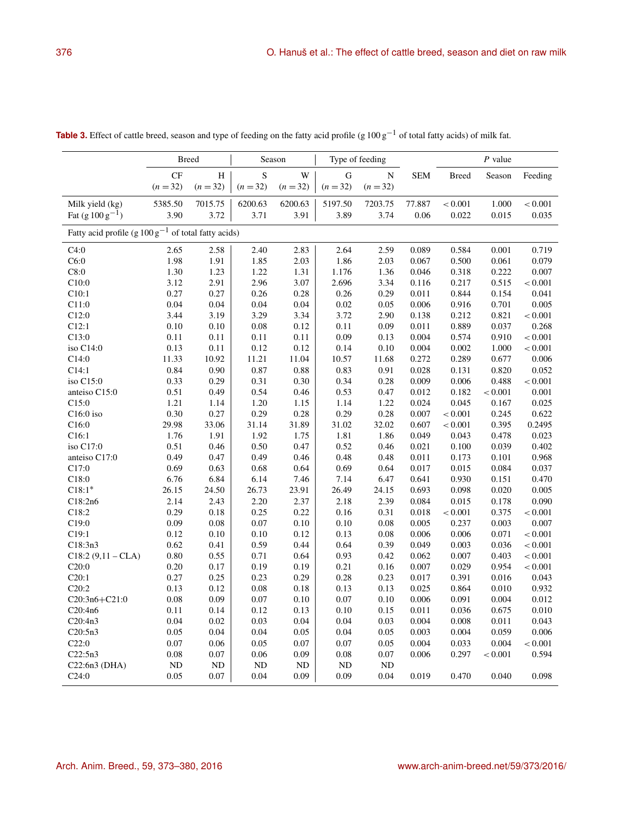|                                                                  | <b>Breed</b> |            | Season     |          | Type of feeding |            |            | $P$ value    |         |         |
|------------------------------------------------------------------|--------------|------------|------------|----------|-----------------|------------|------------|--------------|---------|---------|
|                                                                  | CF           | H          | S          | W        | G               | ${\bf N}$  | <b>SEM</b> | <b>Breed</b> | Season  | Feeding |
|                                                                  | $(n = 32)$   | $(n = 32)$ | $(n = 32)$ | $(n=32)$ | $(n = 32)$      | $(n = 32)$ |            |              |         |         |
| Milk yield (kg)                                                  | 5385.50      | 7015.75    | 6200.63    | 6200.63  | 5197.50         | 7203.75    | 77.887     | < 0.001      | 1.000   | < 0.001 |
| Fat $(g 100 g^{-1})$                                             | 3.90         | 3.72       | 3.71       | 3.91     | 3.89            | 3.74       | 0.06       | 0.022        | 0.015   | 0.035   |
| Fatty acid profile (g $100 \text{ g}^{-1}$ of total fatty acids) |              |            |            |          |                 |            |            |              |         |         |
| C4:0                                                             | 2.65         | 2.58       | 2.40       | 2.83     | 2.64            | 2.59       | 0.089      | 0.584        | 0.001   | 0.719   |
| C6:0                                                             | 1.98         | 1.91       | 1.85       | 2.03     | 1.86            | 2.03       | 0.067      | 0.500        | 0.061   | 0.079   |
| C8:0                                                             | 1.30         | 1.23       | 1.22       | 1.31     | 1.176           | 1.36       | 0.046      | 0.318        | 0.222   | 0.007   |
| C10:0                                                            | 3.12         | 2.91       | 2.96       | 3.07     | 2.696           | 3.34       | 0.116      | 0.217        | 0.515   | < 0.001 |
| C10:1                                                            | 0.27         | 0.27       | 0.26       | 0.28     | 0.26            | 0.29       | 0.011      | 0.844        | 0.154   | 0.041   |
| C11:0                                                            | 0.04         | 0.04       | 0.04       | 0.04     | 0.02            | 0.05       | 0.006      | 0.916        | 0.701   | 0.005   |
| C12:0                                                            | 3.44         | 3.19       | 3.29       | 3.34     | 3.72            | 2.90       | 0.138      | 0.212        | 0.821   | < 0.001 |
| C12:1                                                            | 0.10         | 0.10       | 0.08       | 0.12     | 0.11            | 0.09       | 0.011      | 0.889        | 0.037   | 0.268   |
| C13:0                                                            | 0.11         | 0.11       | 0.11       | 0.11     | 0.09            | 0.13       | 0.004      | 0.574        | 0.910   | < 0.001 |
| iso C14:0                                                        | 0.13         | 0.11       | 0.12       | 0.12     | 0.14            | 0.10       | 0.004      | 0.002        | 1.000   | < 0.001 |
| C14:0                                                            | 11.33        | 10.92      | 11.21      | 11.04    | 10.57           | 11.68      | 0.272      | 0.289        | 0.677   | 0.006   |
| C14:1                                                            | 0.84         | 0.90       | 0.87       | 0.88     | 0.83            | 0.91       | 0.028      | 0.131        | 0.820   | 0.052   |
| iso C15:0                                                        | 0.33         | 0.29       | 0.31       | 0.30     | 0.34            | 0.28       | 0.009      | 0.006        | 0.488   | < 0.001 |
| anteiso C15:0                                                    | 0.51         | 0.49       | 0.54       | 0.46     | 0.53            | 0.47       | 0.012      | 0.182        | < 0.001 | 0.001   |
| C15:0                                                            | 1.21         | 1.14       | 1.20       | 1.15     | 1.14            | 1.22       | 0.024      | 0.045        | 0.167   | 0.025   |
| $C16:0$ iso                                                      | 0.30         | 0.27       | 0.29       | 0.28     | 0.29            | 0.28       | 0.007      | < 0.001      | 0.245   | 0.622   |
| C16:0                                                            | 29.98        | 33.06      | 31.14      | 31.89    | 31.02           | 32.02      | 0.607      | < 0.001      | 0.395   | 0.2495  |
| C16:1                                                            | 1.76         | 1.91       | 1.92       | 1.75     | 1.81            | 1.86       | 0.049      | 0.043        | 0.478   | 0.023   |
| iso C17:0                                                        | 0.51         | 0.46       | 0.50       | 0.47     | 0.52            | 0.46       | 0.021      | 0.100        | 0.039   | 0.402   |
| anteiso C17:0                                                    | 0.49         | 0.47       | 0.49       | 0.46     | 0.48            | 0.48       | 0.011      | 0.173        | 0.101   | 0.968   |
| C17:0                                                            | 0.69         | 0.63       | 0.68       | 0.64     | 0.69            | 0.64       | 0.017      | 0.015        | 0.084   | 0.037   |
| C18:0                                                            | 6.76         | 6.84       | 6.14       | 7.46     | 7.14            | 6.47       | 0.641      | 0.930        | 0.151   | 0.470   |
| $C18:1*$                                                         | 26.15        | 24.50      | 26.73      | 23.91    | 26.49           | 24.15      | 0.693      | 0.098        | 0.020   | 0.005   |
| C18:2n6                                                          | 2.14         | 2.43       | 2.20       | 2.37     | 2.18            | 2.39       | 0.084      | 0.015        | 0.178   | 0.090   |
| C18:2                                                            | 0.29         | 0.18       | 0.25       | 0.22     | 0.16            | 0.31       | 0.018      | < 0.001      | 0.375   | < 0.001 |
| C19:0                                                            | 0.09         | 0.08       | 0.07       | 0.10     | 0.10            | 0.08       | 0.005      | 0.237        | 0.003   | 0.007   |
| C19:1                                                            | 0.12         | 0.10       | 0.10       | 0.12     | 0.13            | 0.08       | 0.006      | 0.006        | 0.071   | < 0.001 |
| C18:3n3                                                          | 0.62         | 0.41       | 0.59       | 0.44     | 0.64            | 0.39       | 0.049      | 0.003        | 0.036   | < 0.001 |
| $C18:2(9,11 - CLA)$                                              | 0.80         | 0.55       | 0.71       | 0.64     | 0.93            | 0.42       | 0.062      | 0.007        | 0.403   | < 0.001 |
| C20:0                                                            | 0.20         | 0.17       | 0.19       | 0.19     | 0.21            | 0.16       | 0.007      | 0.029        | 0.954   | < 0.001 |
| C20:1                                                            | 0.27         | 0.25       | 0.23       | 0.29     | 0.28            | 0.23       | 0.017      | 0.391        | 0.016   | 0.043   |
| C20:2                                                            | 0.13         | 0.12       | 0.08       | $0.18\,$ | 0.13            | 0.13       | 0.025      | 0.864        | 0.010   | 0.932   |
| $C20:3n6 + C21:0$                                                | 0.08         | 0.09       | 0.07       | 0.10     | 0.07            | 0.10       | 0.006      | 0.091        | 0.004   | 0.012   |
| C20:4n6                                                          | 0.11         | 0.14       | 0.12       | 0.13     | 0.10            | 0.15       | 0.011      | 0.036        | 0.675   | 0.010   |
| C20:4n3                                                          | 0.04         | 0.02       | 0.03       | 0.04     | 0.04            | 0.03       | 0.004      | 0.008        | 0.011   | 0.043   |
| C20:5n3                                                          | 0.05         | 0.04       | 0.04       | 0.05     | 0.04            | 0.05       | 0.003      | 0.004        | 0.059   | 0.006   |
| C22:0                                                            | 0.07         | 0.06       | 0.05       | 0.07     | 0.07            | 0.05       | 0.004      | 0.033        | 0.004   | < 0.001 |
| C22:5n3                                                          | 0.08         | 0.07       | 0.06       | 0.09     | 0.08            | 0.07       | 0.006      | 0.297        | < 0.001 | 0.594   |
| C22:6n3 (DHA)                                                    | ND           | ND         | ND         | ND       | <b>ND</b>       | ND         |            |              |         |         |

 $C24:0$  0.05 0.07 0.04 0.09 0.09 0.04 0.019 0.470 0.040 0.098

Table 3. Effect of cattle breed, season and type of feeding on the fatty acid profile (g 100 g<sup>-1</sup> of total fatty acids) of milk fat.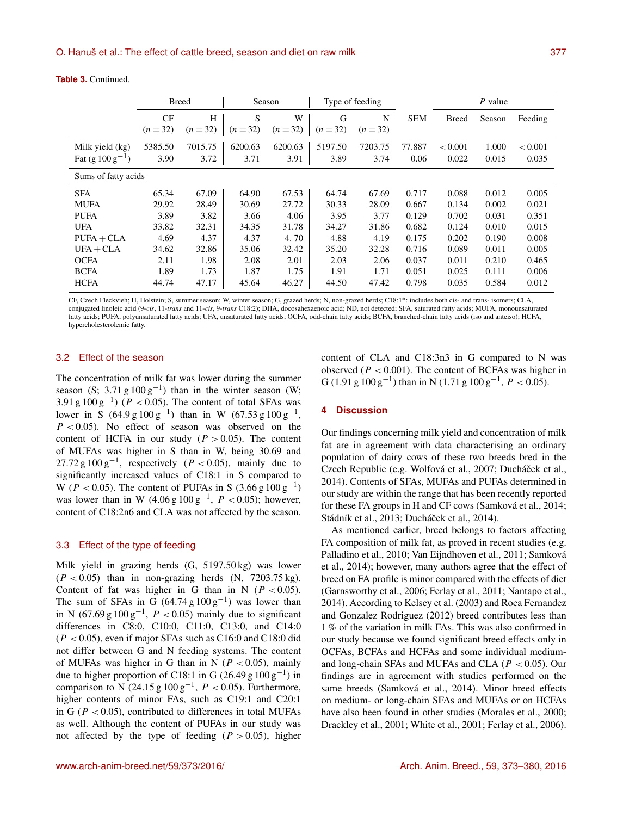|                                         | <b>Breed</b>    |                 | Season          |                 | Type of feeding |                 |                |                  | $P$ value      |                  |  |
|-----------------------------------------|-----------------|-----------------|-----------------|-----------------|-----------------|-----------------|----------------|------------------|----------------|------------------|--|
|                                         | CF<br>$(n=32)$  | H<br>$(n=32)$   | S<br>$(n=32)$   | W<br>$(n=32)$   | G<br>$(n=32)$   | N<br>$(n=32)$   | <b>SEM</b>     | <b>Breed</b>     | Season         | Feeding          |  |
| Milk yield (kg)<br>Fat $(g 100 g^{-1})$ | 5385.50<br>3.90 | 7015.75<br>3.72 | 6200.63<br>3.71 | 6200.63<br>3.91 | 5197.50<br>3.89 | 7203.75<br>3.74 | 77.887<br>0.06 | < 0.001<br>0.022 | 1.000<br>0.015 | < 0.001<br>0.035 |  |
| Sums of fatty acids                     |                 |                 |                 |                 |                 |                 |                |                  |                |                  |  |
| <b>SFA</b>                              | 65.34           | 67.09           | 64.90           | 67.53           | 64.74           | 67.69           | 0.717          | 0.088            | 0.012          | 0.005            |  |
| <b>MUFA</b>                             | 29.92           | 28.49           | 30.69           | 27.72           | 30.33           | 28.09           | 0.667          | 0.134            | 0.002          | 0.021            |  |
| <b>PUFA</b>                             | 3.89            | 3.82            | 3.66            | 4.06            | 3.95            | 3.77            | 0.129          | 0.702            | 0.031          | 0.351            |  |
| <b>UFA</b>                              | 33.82           | 32.31           | 34.35           | 31.78           | 34.27           | 31.86           | 0.682          | 0.124            | 0.010          | 0.015            |  |
| $PUFA + CLA$                            | 4.69            | 4.37            | 4.37            | 4.70            | 4.88            | 4.19            | 0.175          | 0.202            | 0.190          | 0.008            |  |
| $UFA + CLA$                             | 34.62           | 32.86           | 35.06           | 32.42           | 35.20           | 32.28           | 0.716          | 0.089            | 0.011          | 0.005            |  |
| <b>OCFA</b>                             | 2.11            | 1.98            | 2.08            | 2.01            | 2.03            | 2.06            | 0.037          | 0.011            | 0.210          | 0.465            |  |
| <b>BCFA</b>                             | 1.89            | 1.73            | 1.87            | 1.75            | 1.91            | 1.71            | 0.051          | 0.025            | 0.111          | 0.006            |  |

**Table 3.** Continued.

CF, Czech Fleckvieh; H, Holstein; S, summer season; W, winter season; G, grazed herds; N, non-grazed herds; C18:1<sup>∗</sup> : includes both cis- and trans- isomers; CLA, conjugated linoleic acid (9-*cis*, 11-*trans* and 11-*cis*, 9-*trans* C18:2); DHA, docosahexaenoic acid; ND, not detected; SFA, saturated fatty acids; MUFA, monounsaturated fatty acids; PUFA, polyunsaturated fatty acids; UFA, unsaturated fatty acids; OCFA, odd-chain fatty acids; BCFA, branched-chain fatty acids (iso and anteiso); HCFA, hypercholesterolemic fatty.

HCFA 44.74 47.17 45.64 46.27 44.50 47.42 0.798 0.035 0.584 0.012

# 3.2 Effect of the season

The concentration of milk fat was lower during the summer season (S; 3.71 g  $100 \text{ g}^{-1}$ ) than in the winter season (W; 3.91 g  $100 \text{ g}^{-1}$ ) ( $P < 0.05$ ). The content of total SFAs was lower in S  $(64.9 \text{ g } 100 \text{ g}^{-1})$  than in W  $(67.53 \text{ g } 100 \text{ g}^{-1})$ ,  $P < 0.05$ ). No effect of season was observed on the content of HCFA in our study  $(P > 0.05)$ . The content of MUFAs was higher in S than in W, being 30.69 and 27.72 g  $100 \text{ g}^{-1}$ , respectively ( $P < 0.05$ ), mainly due to significantly increased values of C18:1 in S compared to W ( $P < 0.05$ ). The content of PUFAs in S (3.66 g  $100 \text{ g}^{-1}$ ) was lower than in W  $(4.06 \text{ g } 100 \text{ g}^{-1}, P < 0.05)$ ; however, content of C18:2n6 and CLA was not affected by the season.

## 3.3 Effect of the type of feeding

Milk yield in grazing herds (G, 5197.50 kg) was lower  $(P < 0.05)$  than in non-grazing herds  $(N, 7203.75 \text{ kg})$ . Content of fat was higher in G than in N  $(P < 0.05)$ . The sum of SFAs in G  $(64.74 \text{ g } 100 \text{ g}^{-1})$  was lower than in N (67.69 g  $100 \text{ g}^{-1}$ ,  $P < 0.05$ ) mainly due to significant differences in C8:0, C10:0, C11:0, C13:0, and C14:0  $(P < 0.05)$ , even if major SFAs such as C16:0 and C18:0 did not differ between G and N feeding systems. The content of MUFAs was higher in G than in N ( $P < 0.05$ ), mainly due to higher proportion of C18:1 in G (26.49 g  $100 \text{ g}^{-1}$ ) in comparison to N (24.15 g  $100 \text{ g}^{-1}$ ,  $P < 0.05$ ). Furthermore, higher contents of minor FAs, such as C19:1 and C20:1 in G ( $P < 0.05$ ), contributed to differences in total MUFAs as well. Although the content of PUFAs in our study was not affected by the type of feeding  $(P > 0.05)$ , higher content of CLA and C18:3n3 in G compared to N was observed ( $P < 0.001$ ). The content of BCFAs was higher in G (1.91 g  $100 \text{ g}^{-1}$ ) than in N (1.71 g  $100 \text{ g}^{-1}$ ,  $P < 0.05$ ).

# **4 Discussion**

Our findings concerning milk yield and concentration of milk fat are in agreement with data characterising an ordinary population of dairy cows of these two breeds bred in the Czech Republic (e.g. Wolfová et al., 2007; Ducháček et al., 2014). Contents of SFAs, MUFAs and PUFAs determined in our study are within the range that has been recently reported for these FA groups in H and CF cows (Samková et al., 2014; Stádník et al., 2013; Ducháček et al., 2014).

As mentioned earlier, breed belongs to factors affecting FA composition of milk fat, as proved in recent studies (e.g. Palladino et al., 2010; Van Eijndhoven et al., 2011; Samková et al., 2014); however, many authors agree that the effect of breed on FA profile is minor compared with the effects of diet (Garnsworthy et al., 2006; Ferlay et al., 2011; Nantapo et al., 2014). According to Kelsey et al. (2003) and Roca Fernandez and Gonzalez Rodriguez (2012) breed contributes less than 1 % of the variation in milk FAs. This was also confirmed in our study because we found significant breed effects only in OCFAs, BCFAs and HCFAs and some individual mediumand long-chain SFAs and MUFAs and CLA ( $P < 0.05$ ). Our findings are in agreement with studies performed on the same breeds (Samková et al., 2014). Minor breed effects on medium- or long-chain SFAs and MUFAs or on HCFAs have also been found in other studies (Morales et al., 2000; Drackley et al., 2001; White et al., 2001; Ferlay et al., 2006).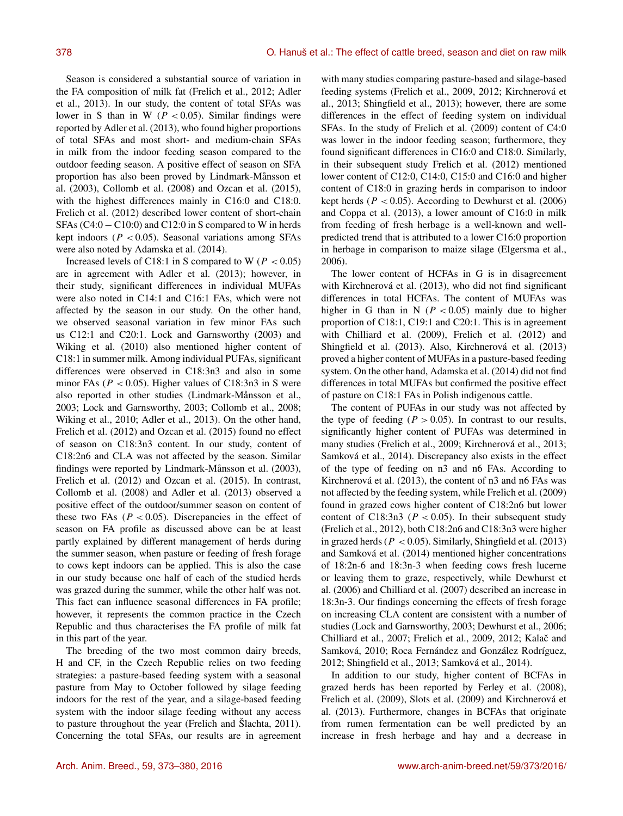Season is considered a substantial source of variation in the FA composition of milk fat (Frelich et al., 2012; Adler et al., 2013). In our study, the content of total SFAs was lower in S than in W ( $P < 0.05$ ). Similar findings were reported by Adler et al. (2013), who found higher proportions of total SFAs and most short- and medium-chain SFAs in milk from the indoor feeding season compared to the outdoor feeding season. A positive effect of season on SFA proportion has also been proved by Lindmark-Månsson et al. (2003), Collomb et al. (2008) and Ozcan et al. (2015), with the highest differences mainly in C16:0 and C18:0. Frelich et al. (2012) described lower content of short-chain SFAs  $(C4:0 - C10:0)$  and  $C12:0$  in S compared to W in herds kept indoors ( $P < 0.05$ ). Seasonal variations among SFAs were also noted by Adamska et al. (2014).

Increased levels of C18:1 in S compared to W ( $P < 0.05$ ) are in agreement with Adler et al. (2013); however, in their study, significant differences in individual MUFAs were also noted in C14:1 and C16:1 FAs, which were not affected by the season in our study. On the other hand, we observed seasonal variation in few minor FAs such us C12:1 and C20:1. Lock and Garnsworthy (2003) and Wiking et al. (2010) also mentioned higher content of C18:1 in summer milk. Among individual PUFAs, significant differences were observed in C18:3n3 and also in some minor FAs ( $P < 0.05$ ). Higher values of C18:3n3 in S were also reported in other studies (Lindmark-Månsson et al., 2003; Lock and Garnsworthy, 2003; Collomb et al., 2008; Wiking et al., 2010; Adler et al., 2013). On the other hand, Frelich et al. (2012) and Ozcan et al. (2015) found no effect of season on C18:3n3 content. In our study, content of C18:2n6 and CLA was not affected by the season. Similar findings were reported by Lindmark-Månsson et al. (2003), Frelich et al. (2012) and Ozcan et al. (2015). In contrast, Collomb et al. (2008) and Adler et al. (2013) observed a positive effect of the outdoor/summer season on content of these two FAs ( $P < 0.05$ ). Discrepancies in the effect of season on FA profile as discussed above can be at least partly explained by different management of herds during the summer season, when pasture or feeding of fresh forage to cows kept indoors can be applied. This is also the case in our study because one half of each of the studied herds was grazed during the summer, while the other half was not. This fact can influence seasonal differences in FA profile; however, it represents the common practice in the Czech Republic and thus characterises the FA profile of milk fat in this part of the year.

The breeding of the two most common dairy breeds, H and CF, in the Czech Republic relies on two feeding strategies: a pasture-based feeding system with a seasonal pasture from May to October followed by silage feeding indoors for the rest of the year, and a silage-based feeding system with the indoor silage feeding without any access to pasture throughout the year (Frelich and Šlachta, 2011). Concerning the total SFAs, our results are in agreement

with many studies comparing pasture-based and silage-based feeding systems (Frelich et al., 2009, 2012; Kirchnerová et al., 2013; Shingfield et al., 2013); however, there are some differences in the effect of feeding system on individual SFAs. In the study of Frelich et al. (2009) content of C4:0 was lower in the indoor feeding season; furthermore, they found significant differences in C16:0 and C18:0. Similarly, in their subsequent study Frelich et al. (2012) mentioned lower content of C12:0, C14:0, C15:0 and C16:0 and higher content of C18:0 in grazing herds in comparison to indoor kept herds ( $P < 0.05$ ). According to Dewhurst et al. (2006) and Coppa et al. (2013), a lower amount of C16:0 in milk from feeding of fresh herbage is a well-known and wellpredicted trend that is attributed to a lower C16:0 proportion in herbage in comparison to maize silage (Elgersma et al., 2006).

The lower content of HCFAs in G is in disagreement with Kirchnerová et al. (2013), who did not find significant differences in total HCFAs. The content of MUFAs was higher in G than in N ( $P < 0.05$ ) mainly due to higher proportion of C18:1, C19:1 and C20:1. This is in agreement with Chilliard et al. (2009), Frelich et al. (2012) and Shingfield et al. (2013). Also, Kirchnerová et al. (2013) proved a higher content of MUFAs in a pasture-based feeding system. On the other hand, Adamska et al. (2014) did not find differences in total MUFAs but confirmed the positive effect of pasture on C18:1 FAs in Polish indigenous cattle.

The content of PUFAs in our study was not affected by the type of feeding ( $P > 0.05$ ). In contrast to our results, significantly higher content of PUFAs was determined in many studies (Frelich et al., 2009; Kirchnerová et al., 2013; Samková et al., 2014). Discrepancy also exists in the effect of the type of feeding on n3 and n6 FAs. According to Kirchnerová et al. (2013), the content of n3 and n6 FAs was not affected by the feeding system, while Frelich et al. (2009) found in grazed cows higher content of C18:2n6 but lower content of C18:3n3 ( $P < 0.05$ ). In their subsequent study (Frelich et al., 2012), both C18:2n6 and C18:3n3 were higher in grazed herds ( $P < 0.05$ ). Similarly, Shingfield et al. (2013) and Samková et al. (2014) mentioned higher concentrations of 18:2n-6 and 18:3n-3 when feeding cows fresh lucerne or leaving them to graze, respectively, while Dewhurst et al. (2006) and Chilliard et al. (2007) described an increase in 18:3n-3. Our findings concerning the effects of fresh forage on increasing CLA content are consistent with a number of studies (Lock and Garnsworthy, 2003; Dewhurst et al., 2006; Chilliard et al., 2007; Frelich et al., 2009, 2012; Kalač and Samková, 2010; Roca Fernández and González Rodríguez, 2012; Shingfield et al., 2013; Samková et al., 2014).

In addition to our study, higher content of BCFAs in grazed herds has been reported by Ferley et al. (2008), Frelich et al. (2009), Slots et al. (2009) and Kirchnerová et al. (2013). Furthermore, changes in BCFAs that originate from rumen fermentation can be well predicted by an increase in fresh herbage and hay and a decrease in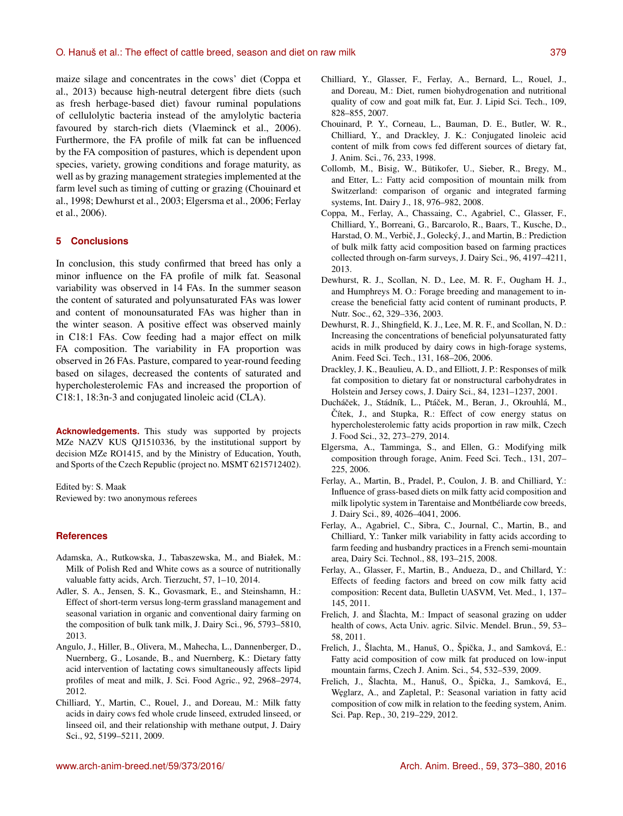maize silage and concentrates in the cows' diet (Coppa et al., 2013) because high-neutral detergent fibre diets (such as fresh herbage-based diet) favour ruminal populations of cellulolytic bacteria instead of the amylolytic bacteria favoured by starch-rich diets (Vlaeminck et al., 2006). Furthermore, the FA profile of milk fat can be influenced by the FA composition of pastures, which is dependent upon species, variety, growing conditions and forage maturity, as well as by grazing management strategies implemented at the farm level such as timing of cutting or grazing (Chouinard et al., 1998; Dewhurst et al., 2003; Elgersma et al., 2006; Ferlay et al., 2006).

## **5 Conclusions**

In conclusion, this study confirmed that breed has only a minor influence on the FA profile of milk fat. Seasonal variability was observed in 14 FAs. In the summer season the content of saturated and polyunsaturated FAs was lower and content of monounsaturated FAs was higher than in the winter season. A positive effect was observed mainly in C18:1 FAs. Cow feeding had a major effect on milk FA composition. The variability in FA proportion was observed in 26 FAs. Pasture, compared to year-round feeding based on silages, decreased the contents of saturated and hypercholesterolemic FAs and increased the proportion of C18:1, 18:3n-3 and conjugated linoleic acid (CLA).

**Acknowledgements.** This study was supported by projects MZe NAZV KUS QJ1510336, by the institutional support by decision MZe RO1415, and by the Ministry of Education, Youth, and Sports of the Czech Republic (project no. MSMT 6215712402).

Edited by: S. Maak Reviewed by: two anonymous referees

## **References**

- Adamska, A., Rutkowska, J., Tabaszewska, M., and Białek, M.: Milk of Polish Red and White cows as a source of nutritionally valuable fatty acids, Arch. Tierzucht, 57, 1–10, 2014.
- Adler, S. A., Jensen, S. K., Govasmark, E., and Steinshamn, H.: Effect of short-term versus long-term grassland management and seasonal variation in organic and conventional dairy farming on the composition of bulk tank milk, J. Dairy Sci., 96, 5793–5810, 2013.
- Angulo, J., Hiller, B., Olivera, M., Mahecha, L., Dannenberger, D., Nuernberg, G., Losande, B., and Nuernberg, K.: Dietary fatty acid intervention of lactating cows simultaneously affects lipid profiles of meat and milk, J. Sci. Food Agric., 92, 2968–2974, 2012.
- Chilliard, Y., Martin, C., Rouel, J., and Doreau, M.: Milk fatty acids in dairy cows fed whole crude linseed, extruded linseed, or linseed oil, and their relationship with methane output, J. Dairy Sci., 92, 5199–5211, 2009.
- Chilliard, Y., Glasser, F., Ferlay, A., Bernard, L., Rouel, J., and Doreau, M.: Diet, rumen biohydrogenation and nutritional quality of cow and goat milk fat, Eur. J. Lipid Sci. Tech., 109, 828–855, 2007.
- Chouinard, P. Y., Corneau, L., Bauman, D. E., Butler, W. R., Chilliard, Y., and Drackley, J. K.: Conjugated linoleic acid content of milk from cows fed different sources of dietary fat, J. Anim. Sci., 76, 233, 1998.
- Collomb, M., Bisig, W., Bütikofer, U., Sieber, R., Bregy, M., and Etter, L.: Fatty acid composition of mountain milk from Switzerland: comparison of organic and integrated farming systems, Int. Dairy J., 18, 976–982, 2008.
- Coppa, M., Ferlay, A., Chassaing, C., Agabriel, C., Glasser, F., Chilliard, Y., Borreani, G., Barcarolo, R., Baars, T., Kusche, D., Harstad, O. M., Verbič, J., Golecký, J., and Martin, B.: Prediction of bulk milk fatty acid composition based on farming practices collected through on-farm surveys, J. Dairy Sci., 96, 4197–4211, 2013.
- Dewhurst, R. J., Scollan, N. D., Lee, M. R. F., Ougham H. J., and Humphreys M. O.: Forage breeding and management to increase the beneficial fatty acid content of ruminant products, P. Nutr. Soc., 62, 329–336, 2003.
- Dewhurst, R. J., Shingfield, K. J., Lee, M. R. F., and Scollan, N. D.: Increasing the concentrations of beneficial polyunsaturated fatty acids in milk produced by dairy cows in high-forage systems, Anim. Feed Sci. Tech., 131, 168–206, 2006.
- Drackley, J. K., Beaulieu, A. D., and Elliott, J. P.: Responses of milk fat composition to dietary fat or nonstructural carbohydrates in Holstein and Jersey cows, J. Dairy Sci., 84, 1231–1237, 2001.
- Ducháček, J., Stádník, L., Ptáček, M., Beran, J., Okrouhlá, M., Čítek, J., and Stupka, R.: Effect of cow energy status on hypercholesterolemic fatty acids proportion in raw milk, Czech J. Food Sci., 32, 273–279, 2014.
- Elgersma, A., Tamminga, S., and Ellen, G.: Modifying milk composition through forage, Anim. Feed Sci. Tech., 131, 207– 225, 2006.
- Ferlay, A., Martin, B., Pradel, P., Coulon, J. B. and Chilliard, Y.: Influence of grass-based diets on milk fatty acid composition and milk lipolytic system in Tarentaise and Montbéliarde cow breeds, J. Dairy Sci., 89, 4026–4041, 2006.
- Ferlay, A., Agabriel, C., Sibra, C., Journal, C., Martin, B., and Chilliard, Y.: Tanker milk variability in fatty acids according to farm feeding and husbandry practices in a French semi-mountain area, Dairy Sci. Technol., 88, 193–215, 2008.
- Ferlay, A., Glasser, F., Martin, B., Andueza, D., and Chillard, Y.: Effects of feeding factors and breed on cow milk fatty acid composition: Recent data, Bulletin UASVM, Vet. Med., 1, 137– 145, 2011.
- Frelich, J. and Šlachta, M.: Impact of seasonal grazing on udder health of cows, Acta Univ. agric. Silvic. Mendel. Brun., 59, 53– 58, 2011.
- Frelich, J., Šlachta, M., Hanuš, O., Špička, J., and Samková, E.: Fatty acid composition of cow milk fat produced on low-input mountain farms, Czech J. Anim. Sci., 54, 532–539, 2009.
- Frelich, J., Šlachta, M., Hanuš, O., Špička, J., Samková, E., W˛eglarz, A., and Zapletal, P.: Seasonal variation in fatty acid composition of cow milk in relation to the feeding system, Anim. Sci. Pap. Rep., 30, 219–229, 2012.